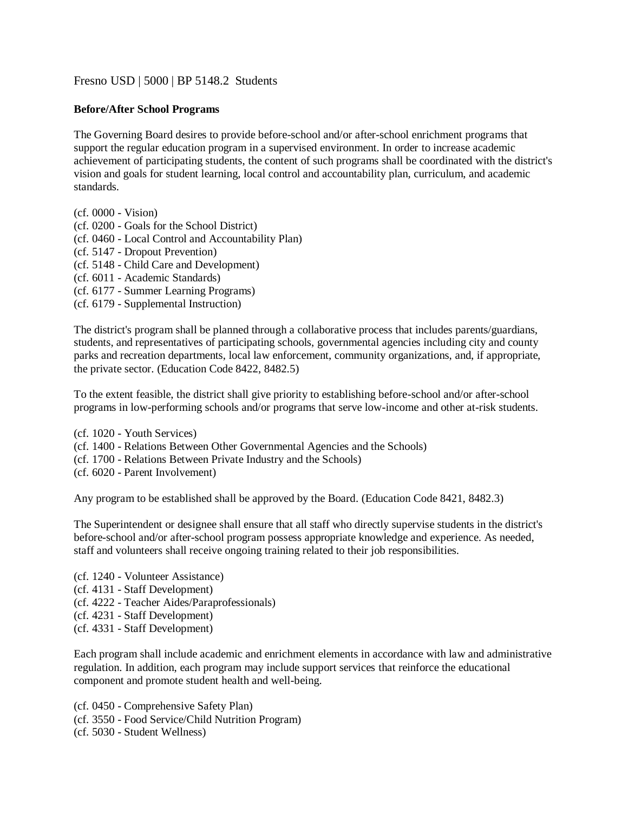Fresno USD | 5000 | BP 5148.2 Students

## **Before/After School Programs**

The Governing Board desires to provide before-school and/or after-school enrichment programs that support the regular education program in a supervised environment. In order to increase academic achievement of participating students, the content of such programs shall be coordinated with the district's vision and goals for student learning, local control and accountability plan, curriculum, and academic standards.

- (cf. 0000 Vision)
- (cf. 0200 Goals for the School District)
- (cf. 0460 Local Control and Accountability Plan)
- (cf. 5147 Dropout Prevention)
- (cf. 5148 Child Care and Development)
- (cf. 6011 Academic Standards)
- (cf. 6177 Summer Learning Programs)
- (cf. 6179 Supplemental Instruction)

The district's program shall be planned through a collaborative process that includes parents/guardians, students, and representatives of participating schools, governmental agencies including city and county parks and recreation departments, local law enforcement, community organizations, and, if appropriate, the private sector. (Education Code 8422, 8482.5)

To the extent feasible, the district shall give priority to establishing before-school and/or after-school programs in low-performing schools and/or programs that serve low-income and other at-risk students.

- (cf. 1020 Youth Services)
- (cf. 1400 Relations Between Other Governmental Agencies and the Schools)
- (cf. 1700 Relations Between Private Industry and the Schools)
- (cf. 6020 Parent Involvement)

Any program to be established shall be approved by the Board. (Education Code 8421, 8482.3)

The Superintendent or designee shall ensure that all staff who directly supervise students in the district's before-school and/or after-school program possess appropriate knowledge and experience. As needed, staff and volunteers shall receive ongoing training related to their job responsibilities.

(cf. 1240 - Volunteer Assistance) (cf. 4131 - Staff Development) (cf. 4222 - Teacher Aides/Paraprofessionals) (cf. 4231 - Staff Development) (cf. 4331 - Staff Development)

Each program shall include academic and enrichment elements in accordance with law and administrative regulation. In addition, each program may include support services that reinforce the educational component and promote student health and well-being.

(cf. 0450 - Comprehensive Safety Plan) (cf. 3550 - Food Service/Child Nutrition Program) (cf. 5030 - Student Wellness)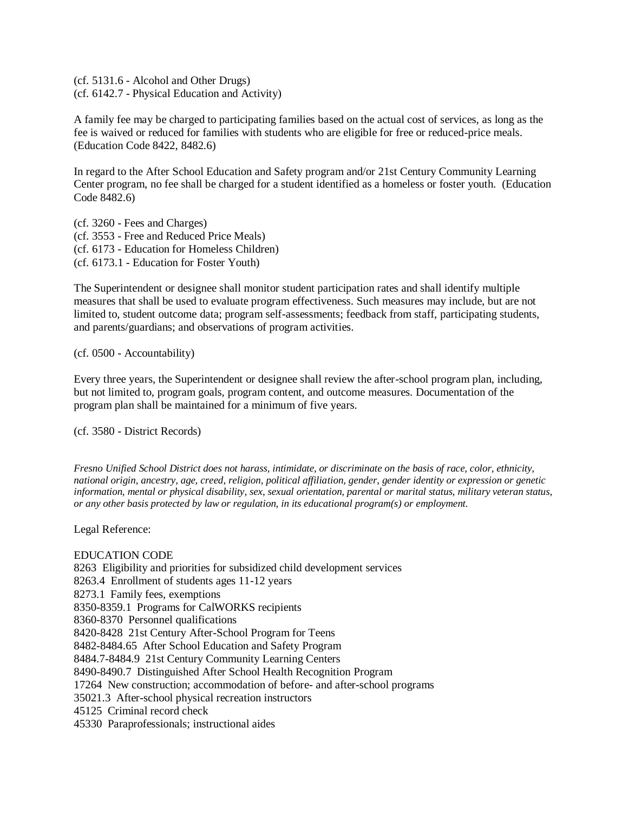(cf. 5131.6 - Alcohol and Other Drugs) (cf. 6142.7 - Physical Education and Activity)

A family fee may be charged to participating families based on the actual cost of services, as long as the fee is waived or reduced for families with students who are eligible for free or reduced-price meals. (Education Code 8422, 8482.6)

In regard to the After School Education and Safety program and/or 21st Century Community Learning Center program, no fee shall be charged for a student identified as a homeless or foster youth. (Education Code 8482.6)

(cf. 3260 - Fees and Charges) (cf. 3553 - Free and Reduced Price Meals) (cf. 6173 - Education for Homeless Children) (cf. 6173.1 - Education for Foster Youth)

The Superintendent or designee shall monitor student participation rates and shall identify multiple measures that shall be used to evaluate program effectiveness. Such measures may include, but are not limited to, student outcome data; program self-assessments; feedback from staff, participating students, and parents/guardians; and observations of program activities.

(cf. 0500 - Accountability)

Every three years, the Superintendent or designee shall review the after-school program plan, including, but not limited to, program goals, program content, and outcome measures. Documentation of the program plan shall be maintained for a minimum of five years.

(cf. 3580 - District Records)

*Fresno Unified School District does not harass, intimidate, or discriminate on the basis of race, color, ethnicity, national origin, ancestry, age, creed, religion, political affiliation, gender, gender identity or expression or genetic information, mental or physical disability, sex, sexual orientation, parental or marital status, military veteran status, or any other basis protected by law or regulation, in its educational program(s) or employment.*

Legal Reference:

EDUCATION CODE 8263 Eligibility and priorities for subsidized child development services 8263.4 Enrollment of students ages 11-12 years 8273.1 Family fees, exemptions 8350-8359.1 Programs for CalWORKS recipients 8360-8370 Personnel qualifications 8420-8428 21st Century After-School Program for Teens 8482-8484.65 After School Education and Safety Program 8484.7-8484.9 21st Century Community Learning Centers 8490-8490.7 Distinguished After School Health Recognition Program 17264 New construction; accommodation of before- and after-school programs 35021.3 After-school physical recreation instructors 45125 Criminal record check 45330 Paraprofessionals; instructional aides